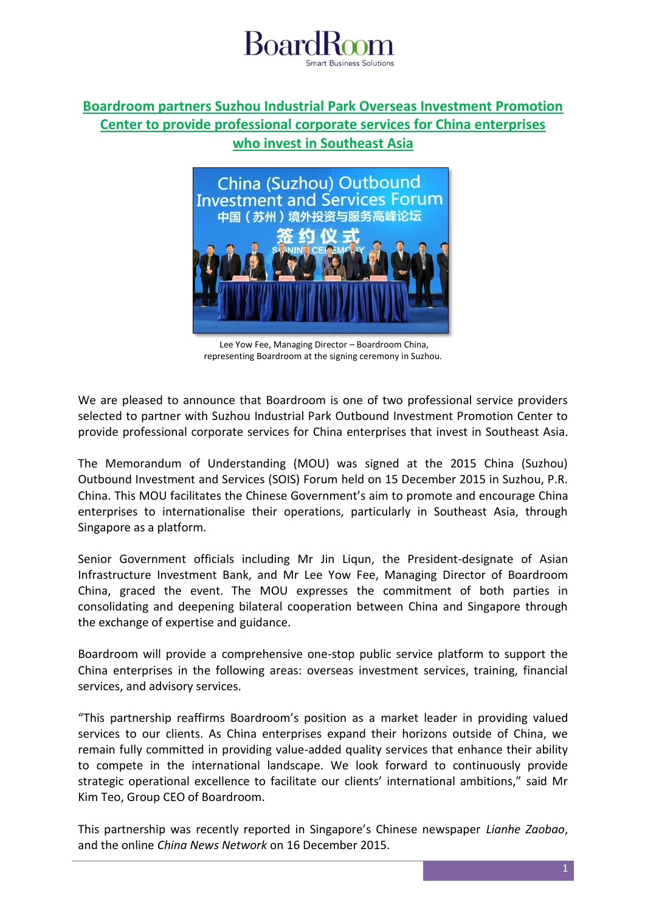

## **Boardroom partners Suzhou Industrial Park Overseas Investment Promotion Center to provide professional corporate services for China enterprises who invest in Southeast Asia**



Lee Yow Fee, Managing Director – Boardroom China, representing Boardroom at the signing ceremony in Suzhou.

We are pleased to announce that Boardroom is one of two professional service providers selected to partner with Suzhou Industrial Park Outbound Investment Promotion Center to provide professional corporate services for China enterprises that invest in Southeast Asia.

The Memorandum of Understanding (MOU) was signed at the 2015 China (Suzhou) Outbound Investment and Services (SOIS) Forum held on 15 December 2015 in Suzhou, P.R. China. This MOU facilitates the Chinese Government's aim to promote and encourage China enterprises to internationalise their operations, particularly in Southeast Asia, through Singapore as a platform.

Senior Government officials including Mr Jin Liqun, the President-designate of Asian Infrastructure Investment Bank, and Mr Lee Yow Fee, Managing Director of Boardroom China, graced the event. The MOU expresses the commitment of both parties in consolidating and deepening bilateral cooperation between China and Singapore through the exchange of expertise and guidance.

Boardroom will provide a comprehensive one-stop public service platform to support the China enterprises in the following areas: overseas investment services, training, financial services, and advisory services.

"This partnership reaffirms Boardroom's position as a market leader in providing valued services to our clients. As China enterprises expand their horizons outside of China, we remain fully committed in providing value-added quality services that enhance their ability to compete in the international landscape. We look forward to continuously provide strategic operational excellence to facilitate our clients' international ambitions," said Mr Kim Teo, Group CEO of Boardroom.

This partnership was recently reported in Singapore's Chinese newspaper *Lianhe Zaobao*, and the online *China News Network* on 16 December 2015.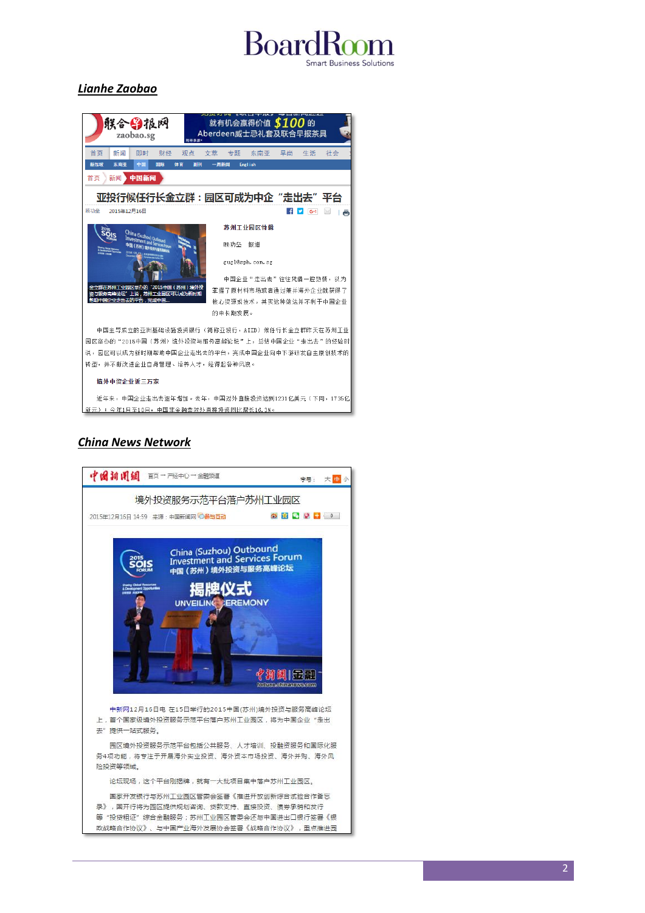# **Board Business Solutions**

## *Lianhe Zaobao*



## *China News Network*